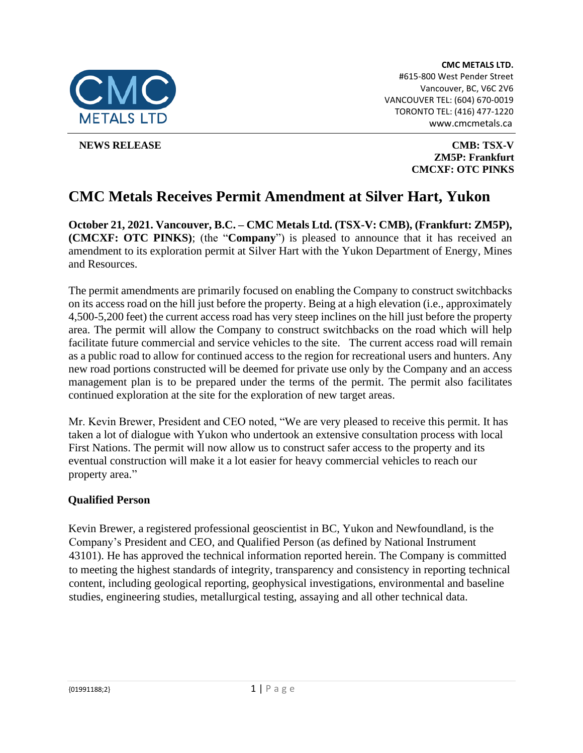

 **NEWS RELEASE CMB: TSX-V [ZM5P: Frankfurt](http://www.falcongold.ca/) CMCXF: OTC PINKS** 

# **CMC Metals Receives Permit Amendment at Silver Hart, Yukon**

**October 21, 2021. Vancouver, B.C. – CMC Metals Ltd. (TSX-V: CMB), (Frankfurt: ZM5P), (CMCXF: OTC PINKS)**; (the "**Company**") is pleased to announce that it has received an amendment to its exploration permit at Silver Hart with the Yukon Department of Energy, Mines and Resources.

The permit amendments are primarily focused on enabling the Company to construct switchbacks on its access road on the hill just before the property. Being at a high elevation (i.e., approximately 4,500-5,200 feet) the current access road has very steep inclines on the hill just before the property area. The permit will allow the Company to construct switchbacks on the road which will help facilitate future commercial and service vehicles to the site. The current access road will remain as a public road to allow for continued access to the region for recreational users and hunters. Any new road portions constructed will be deemed for private use only by the Company and an access management plan is to be prepared under the terms of the permit. The permit also facilitates continued exploration at the site for the exploration of new target areas.

Mr. Kevin Brewer, President and CEO noted, "We are very pleased to receive this permit. It has taken a lot of dialogue with Yukon who undertook an extensive consultation process with local First Nations. The permit will now allow us to construct safer access to the property and its eventual construction will make it a lot easier for heavy commercial vehicles to reach our property area."

## **Qualified Person**

Kevin Brewer, a registered professional geoscientist in BC, Yukon and Newfoundland, is the Company's President and CEO, and Qualified Person (as defined by National Instrument 43101). He has approved the technical information reported herein. The Company is committed to meeting the highest standards of integrity, transparency and consistency in reporting technical content, including geological reporting, geophysical investigations, environmental and baseline studies, engineering studies, metallurgical testing, assaying and all other technical data.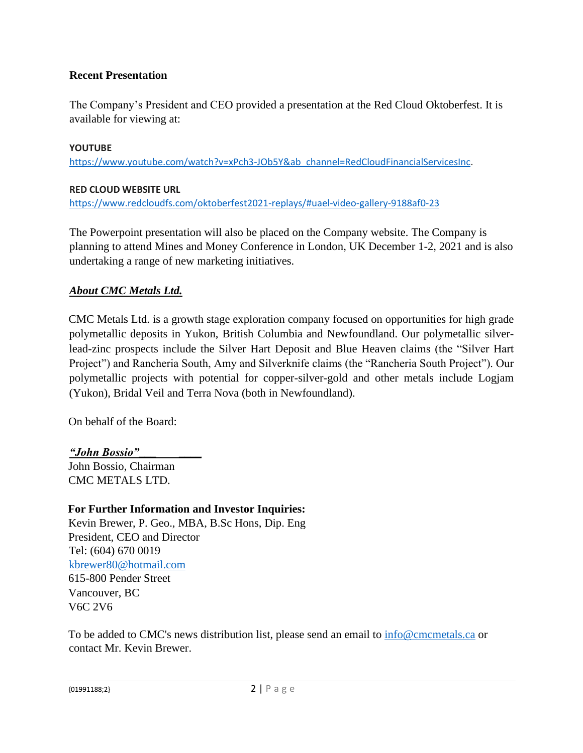## **Recent Presentation**

The Company's President and CEO provided a presentation at the Red Cloud Oktoberfest. It is available for viewing at:

#### **YOUTUBE**

[https://www.youtube.com/watch?v=xPch3-JOb5Y&ab\\_channel=RedCloudFinancialServicesInc.](https://na01.safelinks.protection.outlook.com/?url=https%3A%2F%2Fwww.youtube.com%2Fwatch%3Fv%3DxPch3-JOb5Y%26ab_channel%3DRedCloudFinancialServicesInc&data=04%7C01%7C%7C615d7306e8ea4f6eb87508d99419cd10%7C84df9e7fe9f640afb435aaaaaaaaaaaa%7C1%7C0%7C637703660802137728%7CUnknown%7CTWFpbGZsb3d8eyJWIjoiMC4wLjAwMDAiLCJQIjoiV2luMzIiLCJBTiI6Ik1haWwiLCJXVCI6Mn0%3D%7C1000&sdata=7VYB%2FJt7Whv%2BQVq5ULd3GuOA3tzaOvqj0P9reWVzyNY%3D&reserved=0)

#### **RED CLOUD WEBSITE URL**

[https://www.redcloudfs.com/oktoberfest2021-replays/#uael-video-gallery-9188af0-23](https://na01.safelinks.protection.outlook.com/?url=https%3A%2F%2Fwww.redcloudfs.com%2Foktoberfest2021-replays%2F%23uael-video-gallery-9188af0-23&data=04%7C01%7C%7C615d7306e8ea4f6eb87508d99419cd10%7C84df9e7fe9f640afb435aaaaaaaaaaaa%7C1%7C0%7C637703660802147678%7CUnknown%7CTWFpbGZsb3d8eyJWIjoiMC4wLjAwMDAiLCJQIjoiV2luMzIiLCJBTiI6Ik1haWwiLCJXVCI6Mn0%3D%7C1000&sdata=DST0i%2BOOB%2F%2FcygYD7S5SiZOoVnhK1HiVJU6s%2F7sueow%3D&reserved=0)

The Powerpoint presentation will also be placed on the Company website. The Company is planning to attend Mines and Money Conference in London, UK December 1-2, 2021 and is also undertaking a range of new marketing initiatives.

### *About CMC Metals Ltd.*

CMC Metals Ltd. is a growth stage exploration company focused on opportunities for high grade polymetallic deposits in Yukon, British Columbia and Newfoundland. Our polymetallic silverlead-zinc prospects include the Silver Hart Deposit and Blue Heaven claims (the "Silver Hart Project") and Rancheria South, Amy and Silverknife claims (the "Rancheria South Project"). Our polymetallic projects with potential for copper-silver-gold and other metals include Logjam (Yukon), Bridal Veil and Terra Nova (both in Newfoundland).

On behalf of the Board:

*"John Bossio"*\_\_\_ \_\_\_\_ John Bossio, Chairman CMC METALS LTD.

## **For Further Information and Investor Inquiries:**

Kevin Brewer, P. Geo., MBA, B.Sc Hons, Dip. Eng President, CEO and Director Tel: (604) 670 0019 kbrewer80@hotmail.com 615-800 Pender Street Vancouver, BC V6C 2V6

To be added to CMC's news distribution list, please send an email to info@cmcmetals.ca or contact Mr. Kevin Brewer.